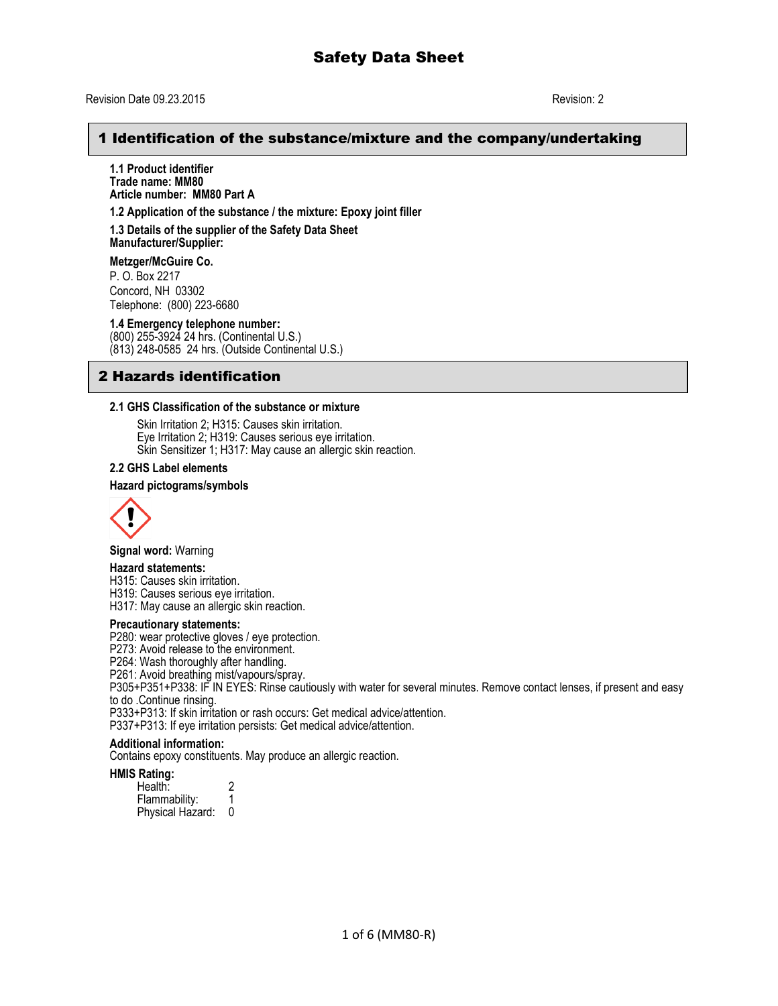## 1 Identification of the substance/mixture and the company/undertaking

**1.1 Product identifier Trade name: MM80 Article number: MM80 Part A**

**1.2 Application of the substance / the mixture: Epoxy joint filler**

**1.3 Details of the supplier of the Safety Data Sheet Manufacturer/Supplier:**

**Metzger/McGuire Co.**

P. O. Box 2217 Concord, NH 03302 Telephone: (800) 223-6680

**1.4 Emergency telephone number:**

(800) 255-3924 24 hrs. (Continental U.S.) (813) 248-0585 24 hrs. (Outside Continental U.S.)

## 2 Hazards identification

#### **2.1 GHS Classification of the substance or mixture**

Skin Irritation 2; H315: Causes skin irritation. Eye Irritation 2; H319: Causes serious eye irritation. Skin Sensitizer 1; H317: May cause an allergic skin reaction.

## **2.2 GHS Label elements**

#### **Hazard pictograms/symbols**



**Signal word:** Warning

#### **Hazard statements:**

H315: Causes skin irritation.

H319: Causes serious eye irritation.

H317: May cause an allergic skin reaction.

#### **Precautionary statements:**

P280: wear protective gloves / eye protection.

P273: Avoid release to the environment.

P264: Wash thoroughly after handling.

P261: Avoid breathing mist/vapours/spray.

P305+P351+P338: IF IN EYES: Rinse cautiously with water for several minutes. Remove contact lenses, if present and easy to do .Continue rinsing.

P333+P313: If skin irritation or rash occurs: Get medical advice/attention.

P337+P313: If eye irritation persists: Get medical advice/attention.

### **Additional information:**

Contains epoxy constituents. May produce an allergic reaction.

#### **HMIS Rating:**

| Health:          |   |
|------------------|---|
| Flammability:    |   |
| Physical Hazard: | 0 |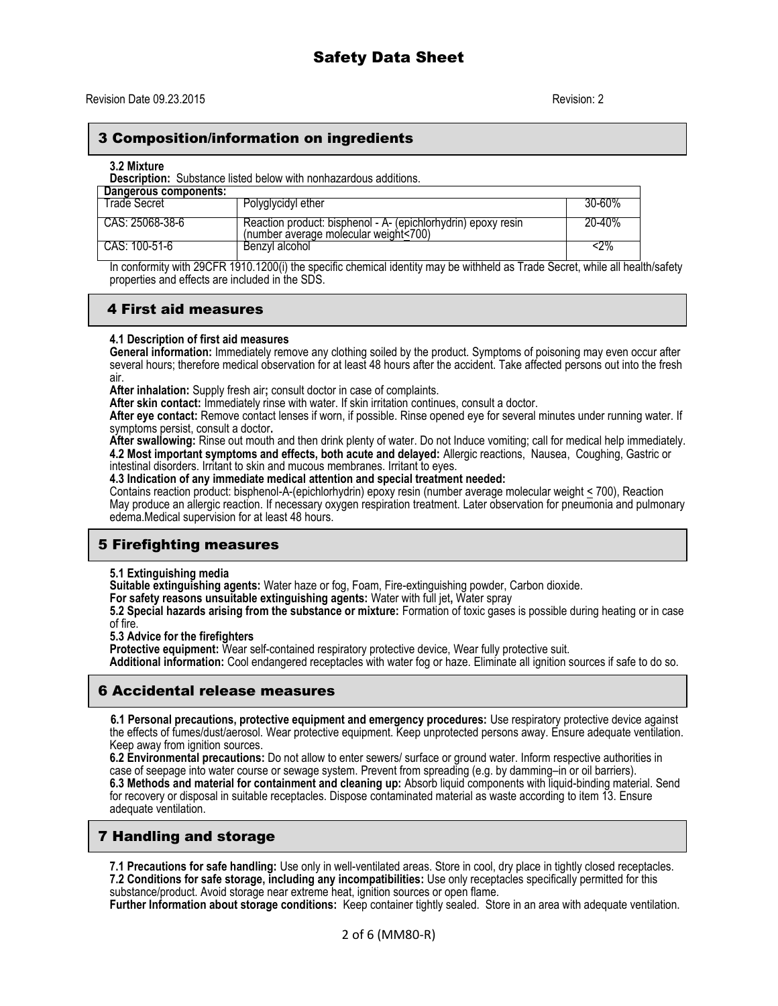## 3 Composition/information on ingredients

#### **3.2 Mixture**

**Description:** Substance listed below with nonhazardous additions.

| Dangerous components: |                                                                                                        |            |
|-----------------------|--------------------------------------------------------------------------------------------------------|------------|
| Trade Secret          | Polyglycidyl ether                                                                                     | $30 - 60%$ |
| CAS: 25068-38-6       | Reaction product: bisphenol - A- (epichlorhydrin) epoxy resin<br>(number average molecular weight<700) | 20-40%     |
| CAS: 100-51-6         | Benzyl alcohol                                                                                         | ሩ2%        |

In conformity with 29CFR 1910.1200(i) the specific chemical identity may be withheld as Trade Secret, while all health/safety properties and effects are included in the SDS.

# 4 First aid measures

### **4.1 Description of first aid measures**

**General information:** Immediately remove any clothing soiled by the product. Symptoms of poisoning may even occur after several hours; therefore medical observation for at least 48 hours after the accident. Take affected persons out into the fresh air.

**After inhalation:** Supply fresh air**;** consult doctor in case of complaints.

**After skin contact:** Immediately rinse with water. If skin irritation continues, consult a doctor.

**After eye contact:** Remove contact lenses if worn, if possible. Rinse opened eye for several minutes under running water. If symptoms persist, consult a doctor**.**

**After swallowing:** Rinse out mouth and then drink plenty of water. Do not Induce vomiting; call for medical help immediately. **4.2 Most important symptoms and effects, both acute and delayed:** Allergic reactions, Nausea, Coughing, Gastric or intestinal disorders. Irritant to skin and mucous membranes. Irritant to eyes.

**4.3 Indication of any immediate medical attention and special treatment needed:**

Contains reaction product: bisphenol-A-(epichlorhydrin) epoxy resin (number average molecular weight < 700), Reaction May produce an allergic reaction. If necessary oxygen respiration treatment. Later observation for pneumonia and pulmonary edema.Medical supervision for at least 48 hours.

# 5 Firefighting measures

### **5.1 Extinguishing media**

**Suitable extinguishing agents:** Water haze or fog, Foam, Fire-extinguishing powder, Carbon dioxide.

**For safety reasons unsuitable extinguishing agents:** Water with full jet**,** Water spray

**5.2 Special hazards arising from the substance or mixture:** Formation of toxic gases is possible during heating or in case of fire.

**5.3 Advice for the firefighters**

Protective equipment: Wear self-contained respiratory protective device, Wear fully protective suit.

**Additional information:** Cool endangered receptacles with water fog or haze. Eliminate all ignition sources if safe to do so.

# 6 Accidental release measures

 **6.1 Personal precautions, protective equipment and emergency procedures:** Use respiratory protective device against the effects of fumes/dust/aerosol. Wear protective equipment. Keep unprotected persons away. Ensure adequate ventilation. Keep away from ignition sources.

**6.2 Environmental precautions:** Do not allow to enter sewers/ surface or ground water. Inform respective authorities in case of seepage into water course or sewage system. Prevent from spreading (e.g. by damming–in or oil barriers). **6.3 Methods and material for containment and cleaning up:** Absorb liquid components with liquid-binding material. Send for recovery or disposal in suitable receptacles. Dispose contaminated material as waste according to item 13. Ensure adequate ventilation.

# 7 Handling and storage

**7.1 Precautions for safe handling:** Use only in well-ventilated areas. Store in cool, dry place in tightly closed receptacles. **7.2 Conditions for safe storage, including any incompatibilities:** Use only receptacles specifically permitted for this substance/product. Avoid storage near extreme heat, ignition sources or open flame.

**Further Information about storage conditions:** Keep container tightly sealed. Store in an area with adequate ventilation.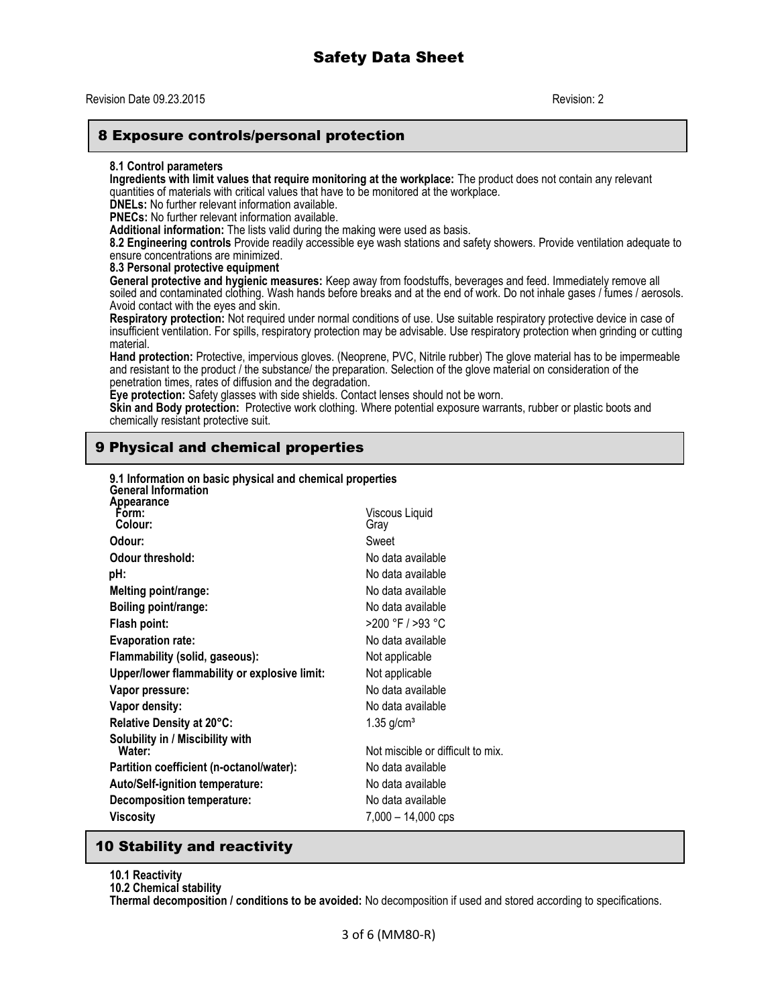## 8 Exposure controls/personal protection

#### **8.1 Control parameters**

**Ingredients with limit values that require monitoring at the workplace:** The product does not contain any relevant quantities of materials with critical values that have to be monitored at the workplace.

**DNELs:** No further relevant information available.

**PNECs:** No further relevant information available.

**Additional information:** The lists valid during the making were used as basis.

**8.2 Engineering controls** Provide readily accessible eye wash stations and safety showers. Provide ventilation adequate to ensure concentrations are minimized.

#### **8.3 Personal protective equipment**

**General protective and hygienic measures:** Keep away from foodstuffs, beverages and feed. Immediately remove all soiled and contaminated clothing. Wash hands before breaks and at the end of work. Do not inhale gases / fumes / aerosols. Avoid contact with the eyes and skin.

**Respiratory protection:** Not required under normal conditions of use. Use suitable respiratory protective device in case of insufficient ventilation. For spills, respiratory protection may be advisable. Use respiratory protection when grinding or cutting material.

**Hand protection:** Protective, impervious gloves. (Neoprene, PVC, Nitrile rubber) The glove material has to be impermeable and resistant to the product / the substance/ the preparation. Selection of the glove material on consideration of the penetration times, rates of diffusion and the degradation.

**Eye protection:** Safety glasses with side shields. Contact lenses should not be worn.

**Skin and Body protection:** Protective work clothing. Where potential exposure warrants, rubber or plastic boots and chemically resistant protective suit.

# 9 Physical and chemical properties

| 9.1 Information on basic physical and chemical properties<br><b>General Information</b> |                                   |
|-----------------------------------------------------------------------------------------|-----------------------------------|
| Appearance<br>Form:<br>Colour:                                                          | Viscous Liquid<br>Gray            |
| Odour:                                                                                  | Sweet                             |
| Odour threshold:                                                                        | No data available                 |
| pH:                                                                                     | No data available                 |
| Melting point/range:                                                                    | No data available                 |
| Boiling point/range:                                                                    | No data available                 |
| Flash point:                                                                            | >200 °F / >93 °C                  |
| <b>Evaporation rate:</b>                                                                | No data available                 |
| Flammability (solid, gaseous):                                                          | Not applicable                    |
| Upper/lower flammability or explosive limit:                                            | Not applicable                    |
| Vapor pressure:                                                                         | No data available                 |
| Vapor density:                                                                          | No data available                 |
| Relative Density at 20°C:                                                               | $1.35$ g/cm <sup>3</sup>          |
| Solubility in / Miscibility with<br>Water:                                              | Not miscible or difficult to mix. |
| Partition coefficient (n-octanol/water):                                                | No data available                 |
| Auto/Self-ignition temperature:                                                         | No data available                 |
| Decomposition temperature:                                                              | No data available                 |
| Viscosity                                                                               | 7,000 - 14,000 cps                |
|                                                                                         |                                   |

## 10 Stability and reactivity

**10.1 Reactivity**

**10.2 Chemical stability**

**Thermal decomposition / conditions to be avoided:** No decomposition if used and stored according to specifications.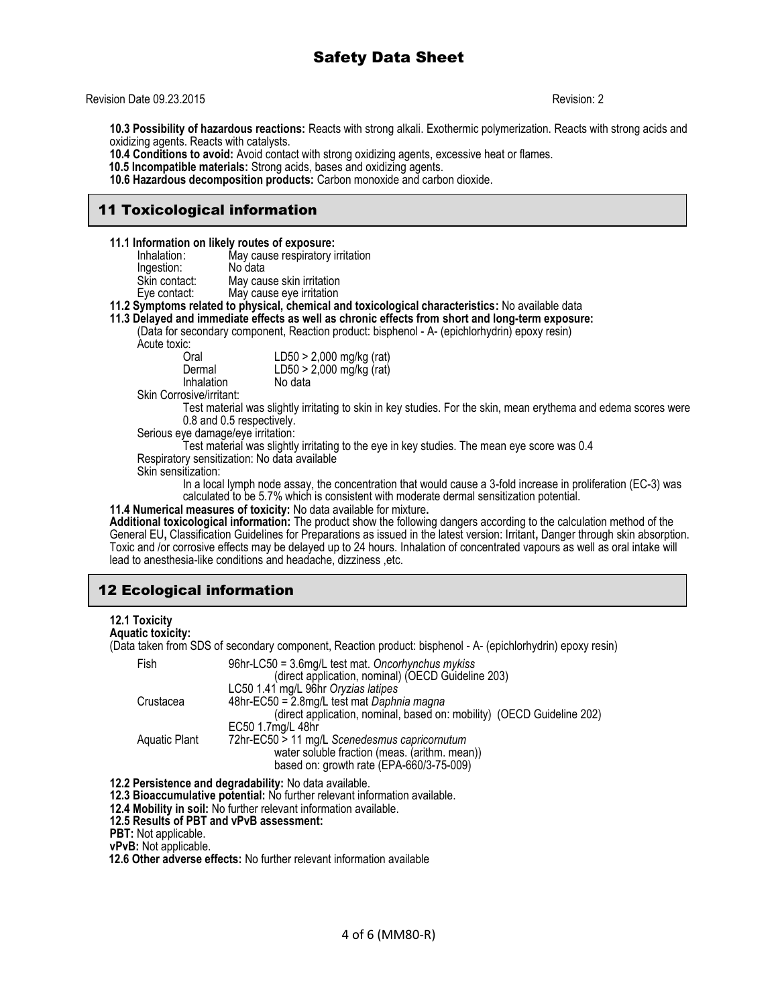#### Revision Date 09.23.2015 Revision: 2

**10.3 Possibility of hazardous reactions:** Reacts with strong alkali. Exothermic polymerization. Reacts with strong acids and oxidizing agents. Reacts with catalysts.

**10.4 Conditions to avoid:** Avoid contact with strong oxidizing agents, excessive heat or flames.

 **10.5 Incompatible materials:** Strong acids, bases and oxidizing agents.

**10.6 Hazardous decomposition products:** Carbon monoxide and carbon dioxide.

# 11 Toxicological information

**11.1 Information on likely routes of exposure:**

| Inhalation:   | May cause respiratory irritation |
|---------------|----------------------------------|
| Ingestion:    | No data                          |
| Skin contact: | May cause skin irritation        |
| Eye contact:  | May cause eye irritation         |

**11.2 Symptoms related to physical, chemical and toxicological characteristics:** No available data

**11.3 Delayed and immediate effects as well as chronic effects from short and long-term exposure:** 

(Data for secondary component, Reaction product: bisphenol - A- (epichlorhydrin) epoxy resin)

:Acute toxic<br>O

| ັ.         |                                                      |
|------------|------------------------------------------------------|
| Oral       |                                                      |
| Dermal     | LD50 > 2,000 mg/kg (rat)<br>LD50 > 2,000 mg/kg (rat) |
| Inhalation | No data                                              |

Skin Corrosive/irritant:

Test material was slightly irritating to skin in key studies. For the skin, mean erythema and edema scores were 0.8 and 0.5 respectively.

Serious eye damage/eye irritation:

Test material was slightly irritating to the eye in key studies. The mean eye score was 0.4 Respiratory sensitization: No data available

Skin sensitization:

In a local lymph node assay, the concentration that would cause a 3-fold increase in proliferation (EC-3) was calculated to be 5.7% which is consistent with moderate dermal sensitization potential.

**11.4 Numerical measures of toxicity:** No data available for mixture**.**

**Additional toxicological information:** The product show the following dangers according to the calculation method of the General EU**,** Classification Guidelines for Preparations as issued in the latest version: Irritant**,** Danger through skin absorption. Toxic and /or corrosive effects may be delayed up to 24 hours. Inhalation of concentrated vapours as well as oral intake will lead to anesthesia-like conditions and headache, dizziness ,etc.

# 12 Ecological information

### **12.1 Toxicity**

**Aquatic toxicity:**

(Data taken from SDS of secondary component, Reaction product: bisphenol - A- (epichlorhydrin) epoxy resin)

| Fish          | 96hr-LC50 = 3.6mg/L test mat. Oncorhynchus mykiss                      |
|---------------|------------------------------------------------------------------------|
|               | (direct application, nominal) (OECD Guideline 203)                     |
|               | LC50 1.41 mg/L 96hr Oryzias latipes                                    |
| Crustacea     | 48hr-EC50 = 2.8mg/L test mat Daphnia magna                             |
|               | (direct application, nominal, based on: mobility) (OECD Guideline 202) |
|               | EC50 1.7mg/L 48hr                                                      |
| Aquatic Plant | 72hr-EC50 > 11 mg/L Scenedesmus capricornutum                          |
|               | water soluble fraction (meas. (arithm. mean))                          |
|               | based on: growth rate (EPA-660/3-75-009)                               |

**12.2 Persistence and degradability:** No data available.

**12.3 Bioaccumulative potential:** No further relevant information available.

**12.4 Mobility in soil:** No further relevant information available.

**12.5 Results of PBT and vPvB assessment:**

**PBT:** Not applicable.

**vPvB:** Not applicable.

 **12.6 Other adverse effects:** No further relevant information available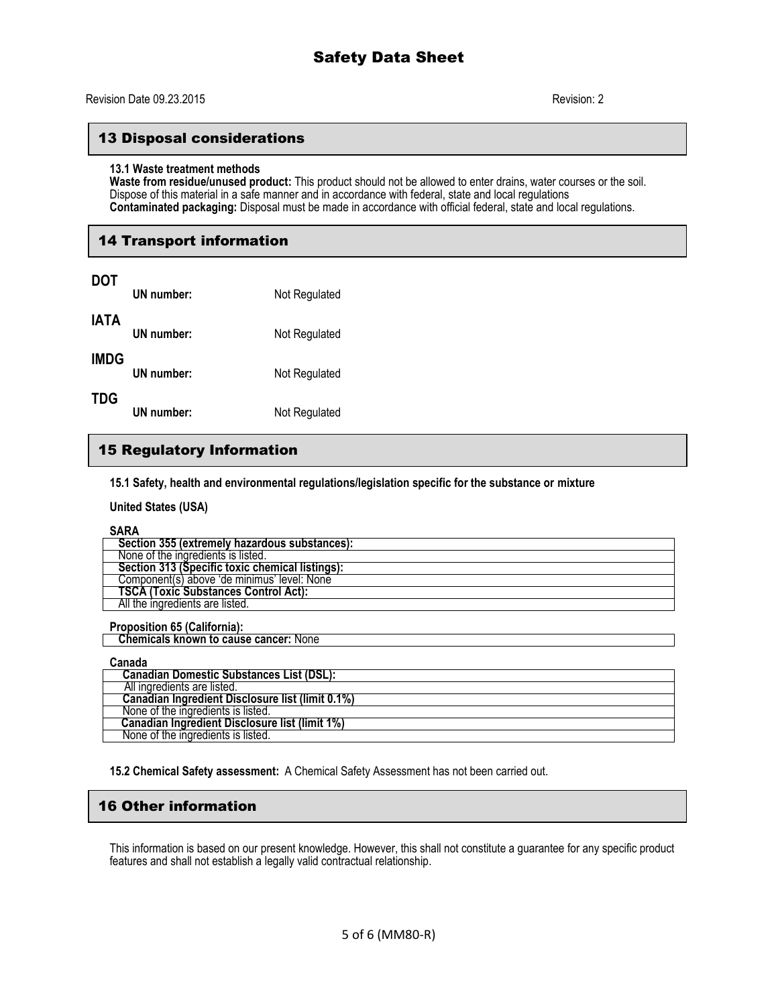## 13 Disposal considerations

#### **13.1 Waste treatment methods**

**Waste from residue/unused product:** This product should not be allowed to enter drains, water courses or the soil. Dispose of this material in a safe manner and in accordance with federal, state and local regulations **Contaminated packaging:** Disposal must be made in accordance with official federal, state and local regulations.

# 14 Transport information

| <b>DOT</b>  | UN number: | Not Regulated |
|-------------|------------|---------------|
| <b>IATA</b> | UN number: | Not Regulated |
| <b>IMDG</b> | UN number: | Not Regulated |
| <b>TDG</b>  | UN number: | Not Regulated |

# 15 Regulatory Information

**15.1 Safety, health and environmental regulations/legislation specific for the substance or mixture**

**United States (USA)**

**SARA**

| 1111                                            |
|-------------------------------------------------|
| Section 355 (extremely hazardous substances):   |
| None of the ingredients is listed.              |
| Section 313 (Specific toxic chemical listings): |
| Component(s) above 'de minimus' level: None     |
| <b>TSCA (Toxic Substances Control Act):</b>     |
| All the ingredients are listed.                 |

**Proposition 65 (California):**

| <b>Chemicals known to cause cancer: None</b>     |  |
|--------------------------------------------------|--|
|                                                  |  |
| Canada                                           |  |
| <b>Canadian Domestic Substances List (DSL):</b>  |  |
| All ingredients are listed.                      |  |
| Canadian Ingredient Disclosure list (limit 0.1%) |  |
| None of the ingredients is listed.               |  |
| Canadian Ingredient Disclosure list (limit 1%)   |  |

**15.2 Chemical Safety assessment:** A Chemical Safety Assessment has not been carried out.

# 16 Other information

None of the ingredients is listed.

This information is based on our present knowledge. However, this shall not constitute a guarantee for any specific product features and shall not establish a legally valid contractual relationship.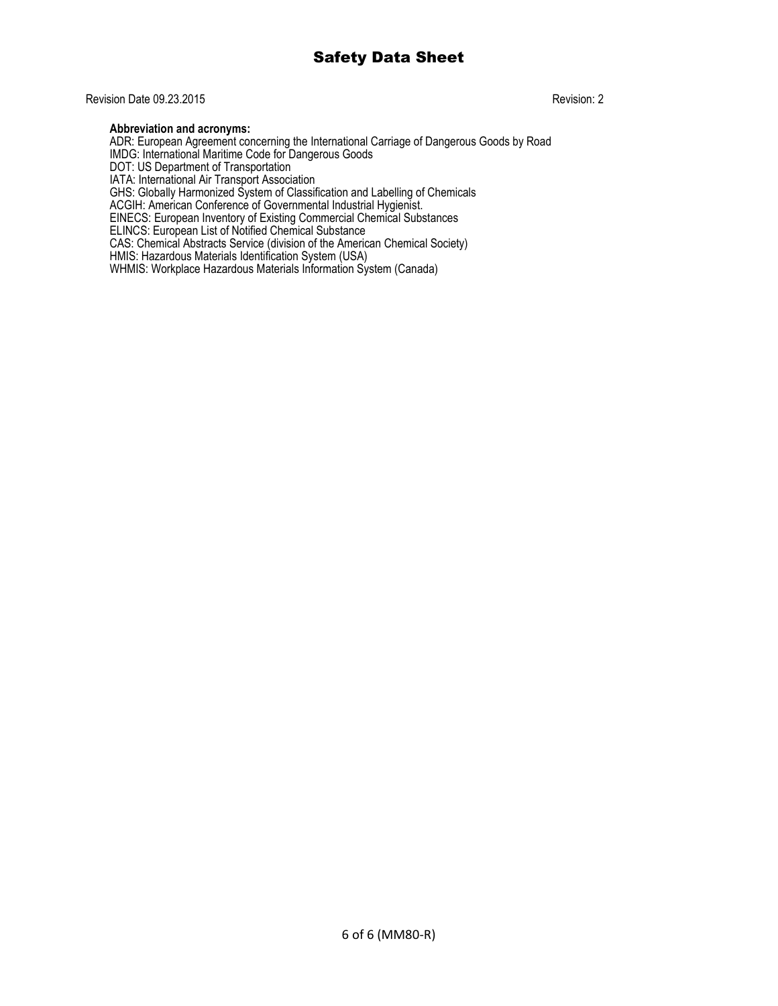## Revision Date 09.23.2015 Revision: 2

### **Abbreviation and acronyms:**

ADR: European Agreement concerning the International Carriage of Dangerous Goods by Road IMDG: International Maritime Code for Dangerous Goods DOT: US Department of Transportation IATA: International Air Transport Association GHS: Globally Harmonized System of Classification and Labelling of Chemicals ACGIH: American Conference of Governmental Industrial Hygienist. EINECS: European Inventory of Existing Commercial Chemical Substances ELINCS: European List of Notified Chemical Substance CAS: Chemical Abstracts Service (division of the American Chemical Society) HMIS: Hazardous Materials Identification System (USA) WHMIS: Workplace Hazardous Materials Information System (Canada)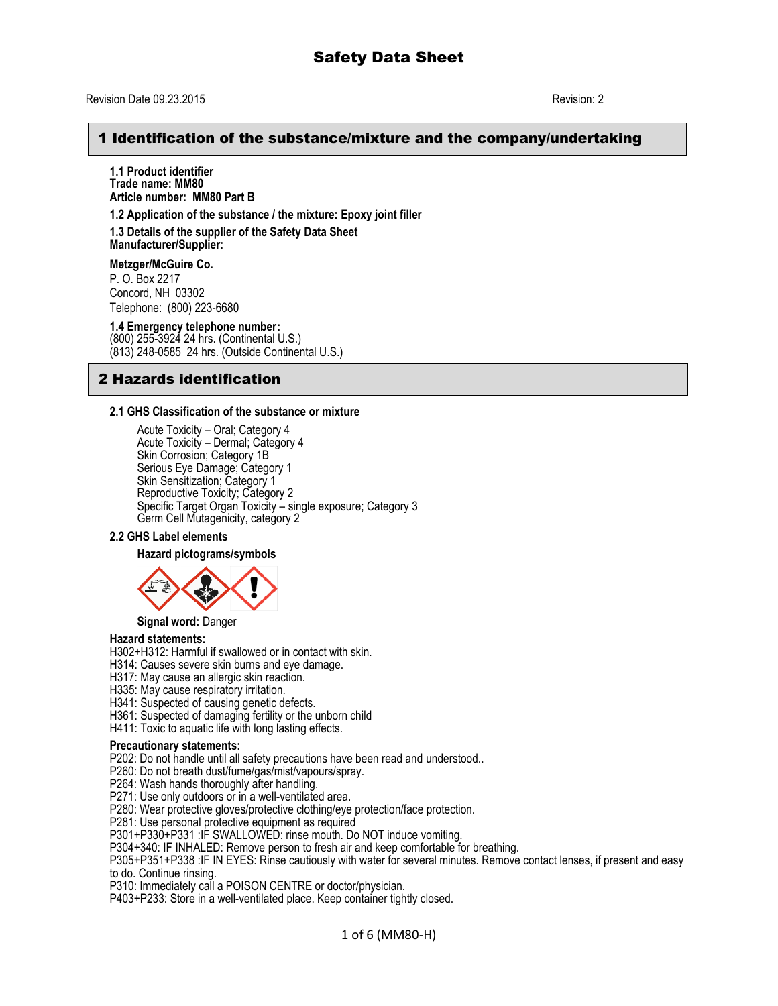## 1 Identification of the substance/mixture and the company/undertaking

**1.1 Product identifier Trade name: MM80 Article number: MM80 Part B**

**1.2 Application of the substance / the mixture: Epoxy joint filler**

**1.3 Details of the supplier of the Safety Data Sheet Manufacturer/Supplier:**

**Metzger/McGuire Co.**

P. O. Box 2217 Concord, NH 03302 Telephone: (800) 223-6680

**1.4 Emergency telephone number:** (800) 255-3924 24 hrs. (Continental U.S.) (813) 248-0585 24 hrs. (Outside Continental U.S.)

## 2 Hazards identification

#### **2.1 GHS Classification of the substance or mixture**

Acute Toxicity – Oral; Category 4 Acute Toxicity – Dermal; Category 4 Skin Corrosion; Category 1B Serious Eye Damage; Category 1 Skin Sensitization; Category 1 Reproductive Toxicity; Category 2 Specific Target Organ Toxicity – single exposure; Category 3 Germ Cell Mutagenicity, category 2

#### **2.2 GHS Label elements**

#### **Hazard pictograms/symbols**



**Signal word:** Danger

#### **Hazard statements:**

H302+H312: Harmful if swallowed or in contact with skin.

- H314: Causes severe skin burns and eye damage.
- H317: May cause an allergic skin reaction.

H335: May cause respiratory irritation.

H341: Suspected of causing genetic defects.

H361: Suspected of damaging fertility or the unborn child

H411: Toxic to aquatic life with long lasting effects.

### **Precautionary statements:**

P202: Do not handle until all safety precautions have been read and understood..

P260: Do not breath dust/fume/gas/mist/vapours/spray.

P264: Wash hands thoroughly after handling.

P271: Use only outdoors or in a well-ventilated area.

P280: Wear protective gloves/protective clothing/eye protection/face protection.

P281: Use personal protective equipment as required

P301+P330+P331 :IF SWALLOWED: rinse mouth. Do NOT induce vomiting.

P304+340: IF INHALED: Remove person to fresh air and keep comfortable for breathing.

P305+P351+P338 :IF IN EYES: Rinse cautiously with water for several minutes. Remove contact lenses, if present and easy to do. Continue rinsing.

P310: Immediately call a POISON CENTRE or doctor/physician.

P403+P233: Store in a well-ventilated place. Keep container tightly closed.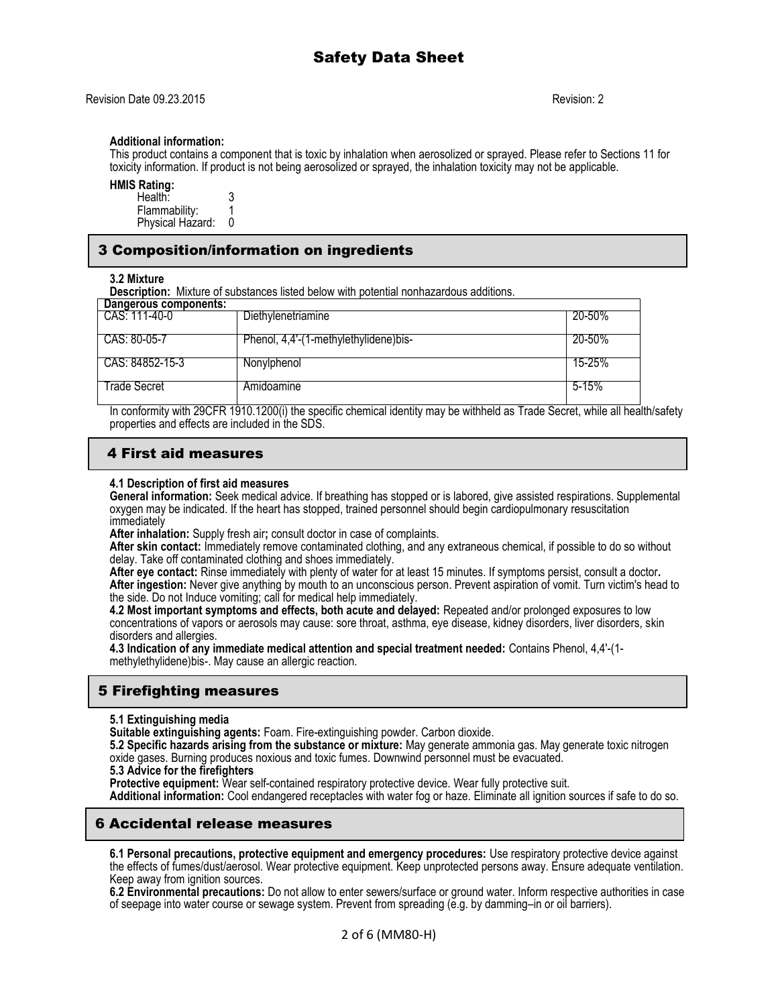#### **Additional information:**

This product contains a component that is toxic by inhalation when aerosolized or sprayed. Please refer to Sections 11 for toxicity information. If product is not being aerosolized or sprayed, the inhalation toxicity may not be applicable.

**HMIS Rating:** 

| Health:          |  |
|------------------|--|
| Flammability:    |  |
| Physical Hazard: |  |

## 3 Composition/information on ingredients

#### **3.2 Mixture**

**Description:** Mixture of substances listed below with potential nonhazardous additions.

| Dangerous components: |                                       |           |
|-----------------------|---------------------------------------|-----------|
| CAS: 111-40-0         | Diethylenetriamine                    | 20-50%    |
| CAS: 80-05-7          | Phenol, 4,4'-(1-methylethylidene)bis- | 20-50%    |
| CAS: 84852-15-3       | Nonylphenol                           | 15-25%    |
| Frade Secret          | Amidoamine                            | $5 - 15%$ |

In conformity with 29CFR 1910.1200(i) the specific chemical identity may be withheld as Trade Secret, while all health/safety properties and effects are included in the SDS.

# 4 First aid measures

#### **4.1 Description of first aid measures**

**General information:** Seek medical advice. If breathing has stopped or is labored, give assisted respirations. Supplemental oxygen may be indicated. If the heart has stopped, trained personnel should begin cardiopulmonary resuscitation immediately

**After inhalation:** Supply fresh air**;** consult doctor in case of complaints.

**After skin contact:** Immediately remove contaminated clothing, and any extraneous chemical, if possible to do so without delay. Take off contaminated clothing and shoes immediately.

**After eye contact:** Rinse immediately with plenty of water for at least 15 minutes. If symptoms persist, consult a doctor**. After ingestion:** Never give anything by mouth to an unconscious person. Prevent aspiration of vomit. Turn victim's head to the side. Do not Induce vomiting; call for medical help immediately.

**4.2 Most important symptoms and effects, both acute and delayed:** Repeated and/or prolonged exposures to low concentrations of vapors or aerosols may cause: sore throat, asthma, eye disease, kidney disorders, liver disorders, skin disorders and allergies.

**4.3 Indication of any immediate medical attention and special treatment needed:** Contains Phenol, 4,4'-(1 methylethylidene)bis-. May cause an allergic reaction.

# 5 Firefighting measures

**5.1 Extinguishing media**

**Suitable extinguishing agents:** Foam. Fire-extinguishing powder. Carbon dioxide.

**5.2 Specific hazards arising from the substance or mixture:** May generate ammonia gas. May generate toxic nitrogen oxide gases. Burning produces noxious and toxic fumes. Downwind personnel must be evacuated.

**5.3 Advice for the firefighters**

**Protective equipment:** Wear self-contained respiratory protective device. Wear fully protective suit. **Additional information:** Cool endangered receptacles with water fog or haze. Eliminate all ignition sources if safe to do so.

# 6 Accidental release measures

**6.1 Personal precautions, protective equipment and emergency procedures:** Use respiratory protective device against the effects of fumes/dust/aerosol. Wear protective equipment. Keep unprotected persons away. Ensure adequate ventilation. Keep away from ignition sources.

**6.2 Environmental precautions:** Do not allow to enter sewers/surface or ground water. Inform respective authorities in case of seepage into water course or sewage system. Prevent from spreading (e.g. by damming–in or oil barriers).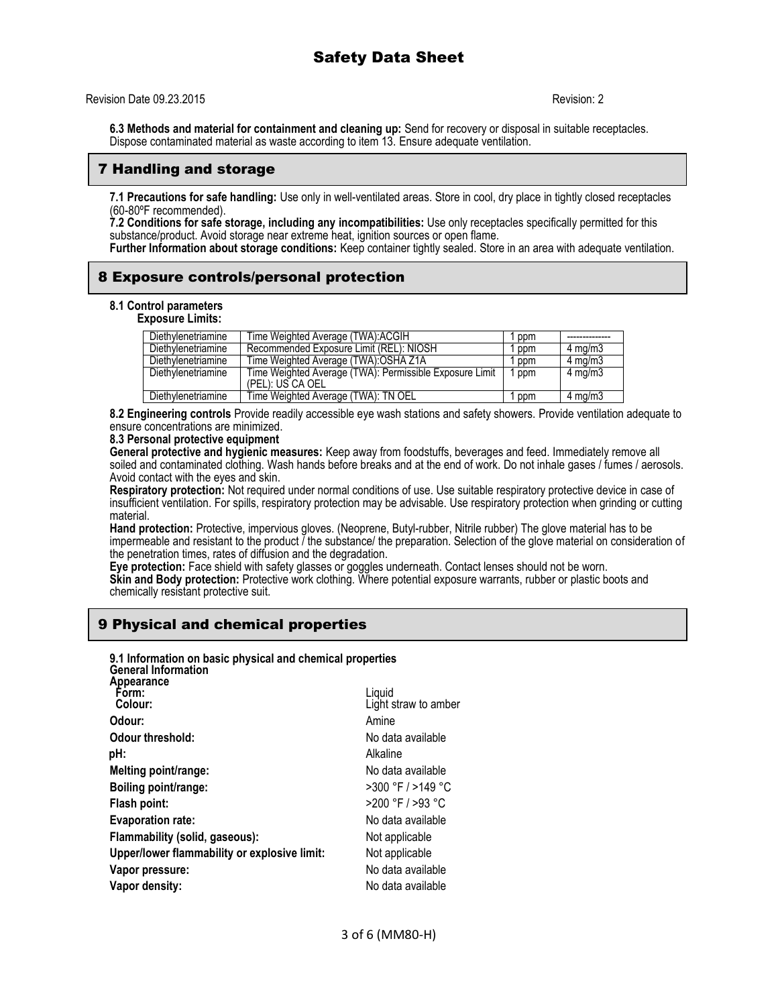Revision Date 09.23.2015 Revision: 2

**6.3 Methods and material for containment and cleaning up:** Send for recovery or disposal in suitable receptacles. Dispose contaminated material as waste according to item 13. Ensure adequate ventilation.

## 7 Handling and storage

**7.1 Precautions for safe handling:** Use only in well-ventilated areas. Store in cool, dry place in tightly closed receptacles (60-80ºF recommended).

**7.2 Conditions for safe storage, including any incompatibilities:** Use only receptacles specifically permitted for this substance/product. Avoid storage near extreme heat, ignition sources or open flame.

**Further Information about storage conditions:** Keep container tightly sealed. Store in an area with adequate ventilation.

# 8 Exposure controls/personal protection

### **8.1 Control parameters**

**Exposure Limits:**

| Diethylenetriamine | Time Weighted Average (TWA): ACGIH                                          | ppm   |                    |
|--------------------|-----------------------------------------------------------------------------|-------|--------------------|
| Diethylenetriamine | Recommended Exposure Limit (REL): NIOSH                                     | ppm   | $4 \text{ ma/m}$ 3 |
| Diethylenetriamine | Time Weighted Average (TWA): OSHA Z1A                                       | ppm   | $4 \text{ mg/m}$   |
| Diethylenetriamine | Time Weighted Average (TWA): Permissible Exposure Limit<br>(PEL): US CA OEL | 1 ppm | $4 \text{ mg/m}$   |
| Diethylenetriamine | Time Weighted Average (TWA): TN OEL                                         | ppm   | $4 \text{ mg/m}$   |
|                    |                                                                             |       |                    |

**8.2 Engineering controls** Provide readily accessible eye wash stations and safety showers. Provide ventilation adequate to ensure concentrations are minimized.

### **8.3 Personal protective equipment**

**General protective and hygienic measures:** Keep away from foodstuffs, beverages and feed. Immediately remove all soiled and contaminated clothing. Wash hands before breaks and at the end of work. Do not inhale gases / fumes / aerosols. Avoid contact with the eyes and skin.

**Respiratory protection:** Not required under normal conditions of use. Use suitable respiratory protective device in case of insufficient ventilation. For spills, respiratory protection may be advisable. Use respiratory protection when grinding or cutting material.

**Hand protection:** Protective, impervious gloves. (Neoprene, Butyl-rubber, Nitrile rubber) The glove material has to be impermeable and resistant to the product *I* the substance/ the preparation. Selection of the glove material on consideration of the penetration times, rates of diffusion and the degradation.

**Eye protection:** Face shield with safety glasses or goggles underneath. Contact lenses should not be worn. **Skin and Body protection:** Protective work clothing. Where potential exposure warrants, rubber or plastic boots and chemically resistant protective suit.

# 9 Physical and chemical properties

| 9.1 Information on basic physical and chemical properties<br><b>General Information</b> |                                |
|-----------------------------------------------------------------------------------------|--------------------------------|
| Appearance<br>Form:<br>Colour:                                                          | Liquid<br>Light straw to amber |
| Odour:                                                                                  | Amine                          |
| Odour threshold:                                                                        | No data available              |
| pH:                                                                                     | Alkaline                       |
| Melting point/range:                                                                    | No data available              |
| Boiling point/range:                                                                    | $>300$ °F $/$ >149 °C          |
| Flash point:                                                                            | >200 °F / >93 °C               |
| <b>Evaporation rate:</b>                                                                | No data available              |
| Flammability (solid, gaseous):                                                          | Not applicable                 |
| Upper/lower flammability or explosive limit:                                            | Not applicable                 |
| Vapor pressure:                                                                         | No data available              |
| Vapor density:                                                                          | No data available              |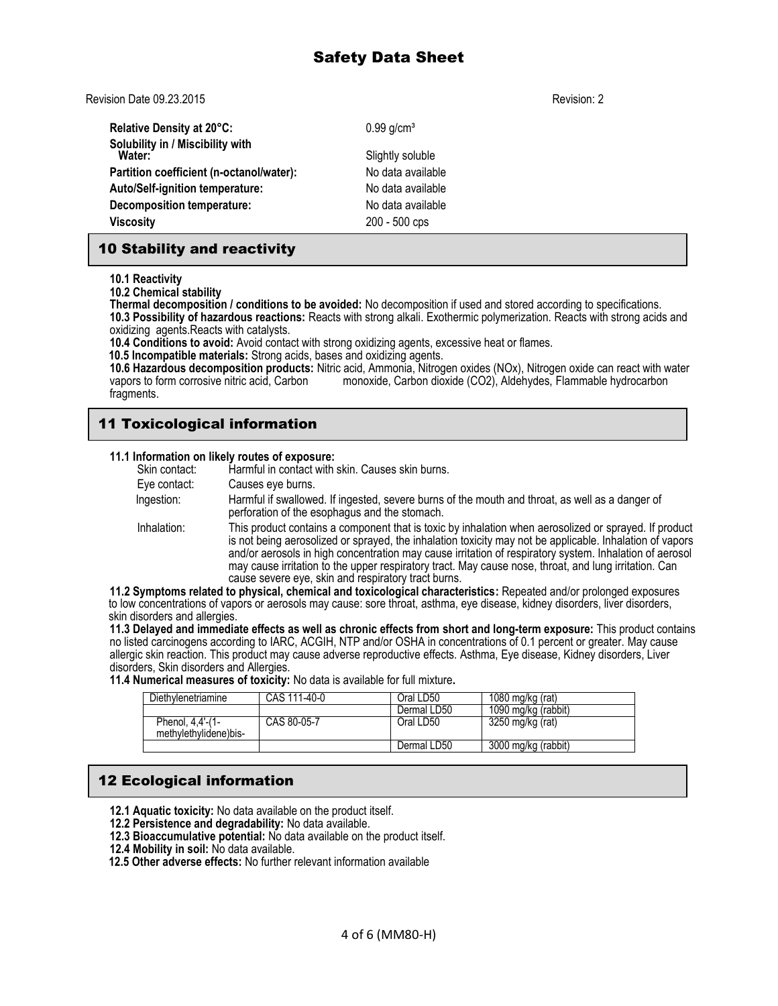Revision Date 09.23.2015 Revision: 2

**Relative Density at 20°C:** 0.99 g/cm<sup>3</sup> **Solubility in / Miscibility with Slightly soluble Partition coefficient (n-octanol/water):** No data available **Auto/Self-ignition temperature:** No data available **Decomposition temperature:** No data available **Viscosity** 200 - 500 cps

# 10 Stability and reactivity

**10.1 Reactivity**

**10.2 Chemical stability**

**Thermal decomposition / conditions to be avoided:** No decomposition if used and stored according to specifications. **10.3 Possibility of hazardous reactions:** Reacts with strong alkali. Exothermic polymerization. Reacts with strong acids and oxidizing agents.Reacts with catalysts.

**10.4 Conditions to avoid:** Avoid contact with strong oxidizing agents, excessive heat or flames.

 **10.5 Incompatible materials:** Strong acids, bases and oxidizing agents.

**10.6 Hazardous decomposition products:** Nitric acid, Ammonia, Nitrogen oxides (NOx), Nitrogen oxide can react with water vapors to form corrosive nitric acid, Carbon monoxide, Carbon dioxide (CO2), Aldehydes, Flammable hydrocarbon fragments.

# 11 Toxicological information

| 11.1 Information on likely routes of exposure: |  |  |
|------------------------------------------------|--|--|
|------------------------------------------------|--|--|

| Skin contact: | Harmful in contact with skin. Causes skin burns.                                                                                                                                                                                                                                                                                                                                                                                                                                             |
|---------------|----------------------------------------------------------------------------------------------------------------------------------------------------------------------------------------------------------------------------------------------------------------------------------------------------------------------------------------------------------------------------------------------------------------------------------------------------------------------------------------------|
| Eye contact:  | Causes eye burns.                                                                                                                                                                                                                                                                                                                                                                                                                                                                            |
| Ingestion:    | Harmful if swallowed. If ingested, severe burns of the mouth and throat, as well as a danger of<br>perforation of the esophagus and the stomach.                                                                                                                                                                                                                                                                                                                                             |
| Inhalation:   | This product contains a component that is toxic by inhalation when aerosolized or sprayed. If product<br>is not being aerosolized or sprayed, the inhalation toxicity may not be applicable. Inhalation of vapors<br>and/or aerosols in high concentration may cause irritation of respiratory system. Inhalation of aerosol<br>may cause irritation to the upper respiratory tract. May cause nose, throat, and lung irritation. Can<br>cause severe eye, skin and respiratory tract burns. |

**11.2 Symptoms related to physical, chemical and toxicological characteristics:** Repeated and/or prolonged exposures to low concentrations of vapors or aerosols may cause: sore throat, asthma, eye disease, kidney disorders, liver disorders, skin disorders and allergies.

**11.3 Delayed and immediate effects as well as chronic effects from short and long-term exposure:** This product contains no listed carcinogens according to IARC, ACGIH, NTP and/or OSHA in concentrations of 0.1 percent or greater. May cause allergic skin reaction. This product may cause adverse reproductive effects. Asthma, Eye disease, Kidney disorders, Liver disorders, Skin disorders and Allergies.

**11.4 Numerical measures of toxicity:** No data is available for full mixture**.** 

| Diethylenetriamine                        | CAS 111-40-0 | Oral LD50   | 1080 mg/kg (rat)    |
|-------------------------------------------|--------------|-------------|---------------------|
|                                           |              | Dermal LD50 | 1090 mg/kg (rabbit) |
| Phenol, 4,4'-(1-<br>methylethylidene)bis- | CAS 80-05-7  | Oral LD50   | 3250 mg/kg (rat)    |
|                                           |              | Dermal LD50 | 3000 mg/kg (rabbit) |

# 12 Ecological information

- **12.1 Aquatic toxicity:** No data available on the product itself.
- **12.2 Persistence and degradability:** No data available.
- **12.3 Bioaccumulative potential:** No data available on the product itself.
- **12.4 Mobility in soil:** No data available.
- **12.5 Other adverse effects:** No further relevant information available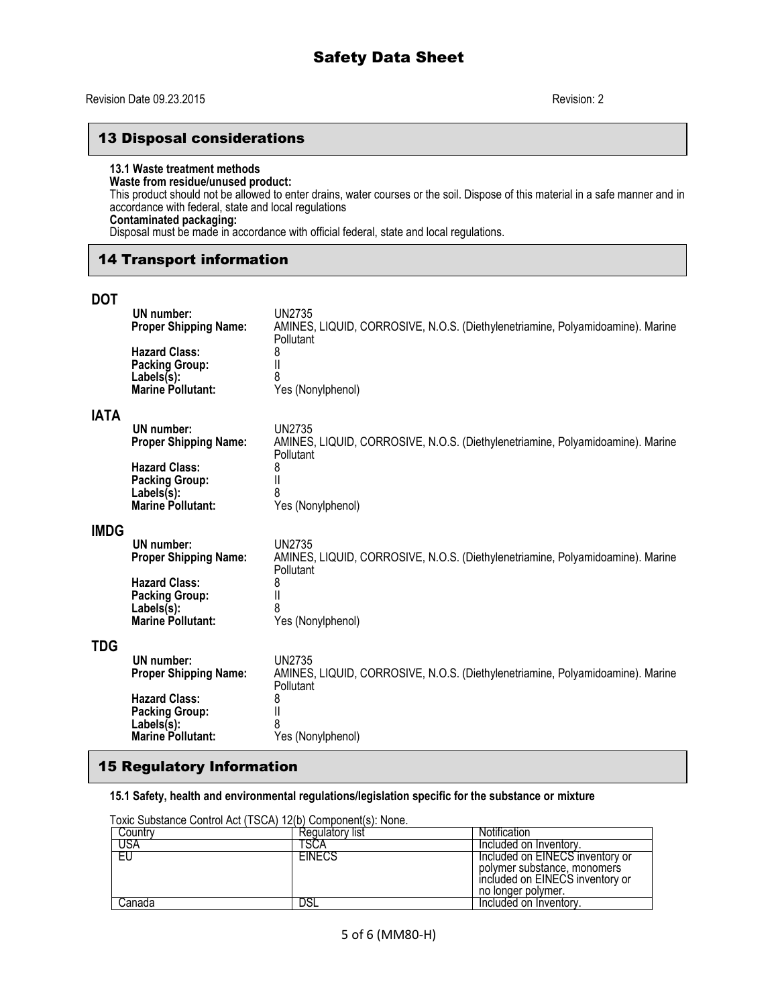## 13 Disposal considerations

## **13.1 Waste treatment methods**

## **Waste from residue/unused product:**

This product should not be allowed to enter drains, water courses or the soil. Dispose of this material in a safe manner and in accordance with federal, state and local regulations

# **Contaminated packaging:**

Disposal must be made in accordance with official federal, state and local regulations.

# 14 Transport information

## **DOT**

|             | UN number:<br><b>Proper Shipping Name:</b>                                                 | <b>UN2735</b><br>AMINES, LIQUID, CORROSIVE, N.O.S. (Diethylenetriamine, Polyamidoamine). Marine<br>Pollutant |
|-------------|--------------------------------------------------------------------------------------------|--------------------------------------------------------------------------------------------------------------|
|             | <b>Hazard Class:</b><br><b>Packing Group:</b><br>$Labels(s)$ :<br><b>Marine Pollutant:</b> | 8<br>Yes (Nonylphenol)                                                                                       |
| <b>ATAI</b> |                                                                                            |                                                                                                              |
|             | UN number:<br><b>Proper Shipping Name:</b>                                                 | <b>UN2735</b><br>AMINES, LIQUID, CORROSIVE, N.O.S. (Diethylenetriamine, Polyamidoamine). Marine<br>Pollutant |
|             | <b>Hazard Class:</b><br><b>Packing Group:</b><br>Labels(s):                                | 8<br>8                                                                                                       |
|             | <b>Marine Pollutant:</b>                                                                   | Yes (Nonylphenol)                                                                                            |
| IMDG        |                                                                                            |                                                                                                              |
|             | UN number:<br><b>Proper Shipping Name:</b>                                                 | <b>UN2735</b><br>AMINES, LIQUID, CORROSIVE, N.O.S. (Diethylenetriamine, Polyamidoamine). Marine<br>Pollutant |
|             | <b>Hazard Class:</b><br><b>Packing Group:</b><br>Labels(s):                                | 8                                                                                                            |
|             | <b>Marine Pollutant:</b>                                                                   | Yes (Nonylphenol)                                                                                            |
| TDG         |                                                                                            |                                                                                                              |
|             | UN number:<br><b>Proper Shipping Name:</b>                                                 | <b>UN2735</b><br>AMINES, LIQUID, CORROSIVE, N.O.S. (Diethylenetriamine, Polyamidoamine). Marine<br>Pollutant |
|             | <b>Hazard Class:</b><br><b>Packing Group:</b>                                              | 8                                                                                                            |
|             | $Labels(s)$ :                                                                              |                                                                                                              |
|             | <b>Marine Pollutant:</b>                                                                   | Yes (Nonylphenol)                                                                                            |

# 15 Regulatory Information

**15.1 Safety, health and environmental regulations/legislation specific for the substance or mixture**

|           | TOXIC SUDSTANCE CONTROL ACT (TSCA) TZ(D) COMDONENTIS). NONE. |                                                                                                                         |
|-----------|--------------------------------------------------------------|-------------------------------------------------------------------------------------------------------------------------|
| l Country | Regulatory list                                              | Notification                                                                                                            |
| USA       | 'SCA                                                         | Included on Inventory.                                                                                                  |
| -EU       | <b>EINECS</b>                                                | Included on EINECS inventory or<br>polymer substance, monomers<br>included on EINECS inventory or<br>no longer polymer. |
| Canada    |                                                              | Included on Inventory.                                                                                                  |

Toxic Substance Control Act (TSCA) 12(b) Component(s): None.